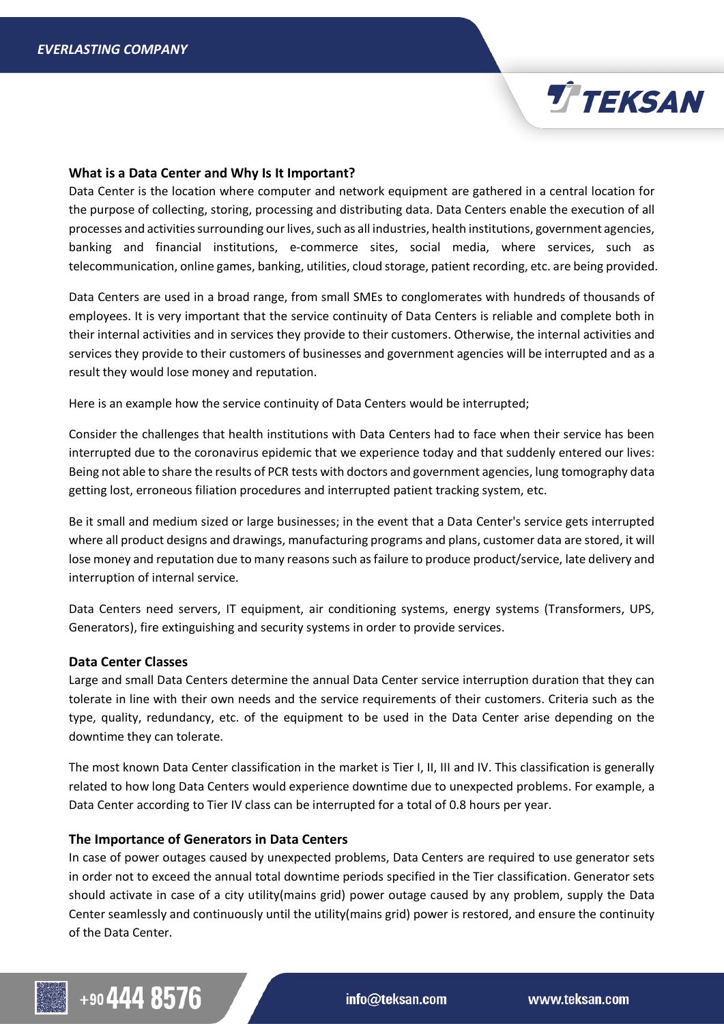## **What is a Data Center and Why Is It Important?**

Data Center is the location where computer and network equipment are gathered in a central location for the purpose of collecting, storing, processing and distributing data. Data Centers enable the execution of all processes and activities surrounding our lives, such as all industries, health institutions, government agencies, banking and financial institutions, e-commerce sites, social media, where services, such as telecommunication, online games, banking, utilities, cloud storage, patient recording, etc. are being provided.

Data Centers are used in a broad range, from small SMEs to conglomerates with hundreds of thousands of employees. It is very important that the service continuity of Data Centers is reliable and complete both in their internal activities and in services they provide to their customers. Otherwise, the internal activities and services they provide to their customers of businesses and government agencies will be interrupted and as a result they would lose money and reputation.

Here is an example how the service continuity of Data Centers would be interrupted;

Consider the challenges that health institutions with Data Centers had to face when their service has been interrupted due to the coronavirus epidemic that we experience today and that suddenly entered our lives: Being not able to share the results of PCR tests with doctors and government agencies, lung tomography data getting lost, erroneous filiation procedures and interrupted patient tracking system, etc.

Be it small and medium sized or large businesses; in the event that a Data Center's service gets interrupted where all product designs and drawings, manufacturing programs and plans, customer data are stored, it will lose money and reputation due to many reasons such as failure to produce product/service, late delivery and interruption of internal service.

Data Centers need servers, IT equipment, air conditioning systems, energy systems (Transformers, UPS, Generators), fire extinguishing and security systems in order to provide services.

## **Data Center Classes**

Large and small Data Centers determine the annual Data Center service interruption duration that they can tolerate in line with their own needs and the service requirements of their customers. Criteria such as the type, quality, redundancy, etc. of the equipment to be used in the Data Center arise depending on the downtime they can tolerate.

The most known Data Center classification in the market is Tier I, II, III and IV. This classification is generally related to how long Data Centers would experience downtime due to unexpected problems. For example, a Data Center according to Tier IV class can be interrupted for a total of 0.8 hours per year.

## **The Importance of Generators in Data Centers**

In case of power outages caused by unexpected problems, Data Centers are required to use generator sets in order not to exceed the annual total downtime periods specified in the Tier classification. Generator sets should activate in case of a city utility(mains grid) power outage caused by any problem, supply the Data Center seamlessly and continuously until the utility(mains grid) power is restored, and ensure the continuity of the Data Center.



info@teksan.com

**TTEKSAN**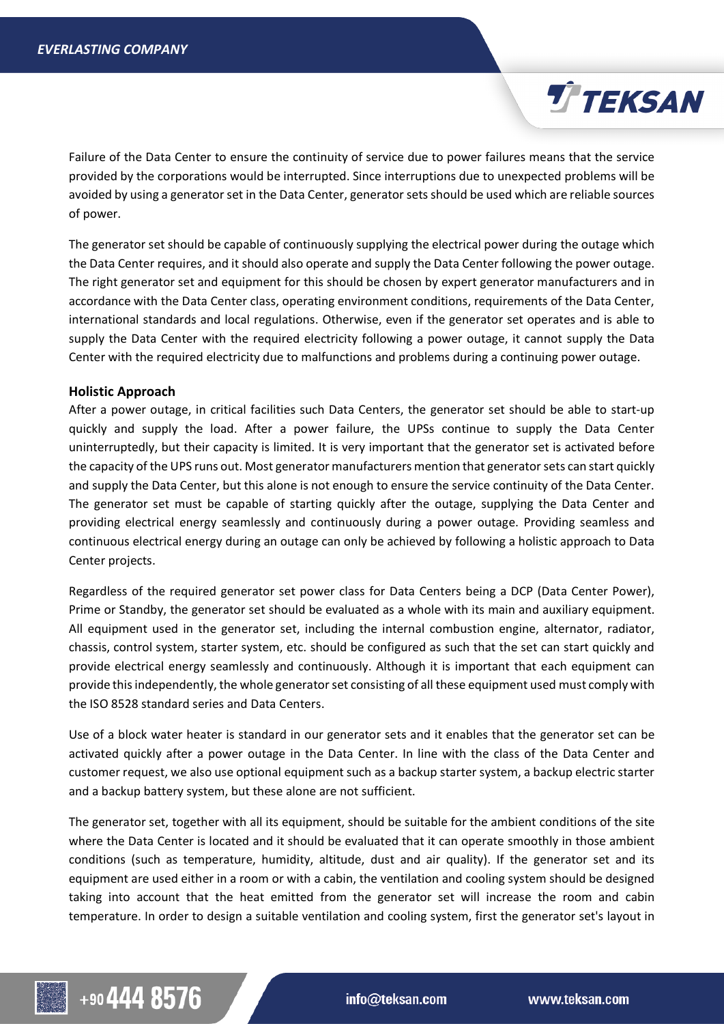

The generator set should be capable of continuously supplying the electrical power during the outage which the Data Center requires, and it should also operate and supply the Data Center following the power outage. The right generator set and equipment for this should be chosen by expert generator manufacturers and in accordance with the Data Center class, operating environment conditions, requirements of the Data Center, international standards and local regulations. Otherwise, even if the generator set operates and is able to supply the Data Center with the required electricity following a power outage, it cannot supply the Data Center with the required electricity due to malfunctions and problems during a continuing power outage.

## **Holistic Approach**

After a power outage, in critical facilities such Data Centers, the generator set should be able to start-up quickly and supply the load. After a power failure, the UPSs continue to supply the Data Center uninterruptedly, but their capacity is limited. It is very important that the generator set is activated before the capacity of the UPS runs out. Most generator manufacturers mention that generator sets can start quickly and supply the Data Center, but this alone is not enough to ensure the service continuity of the Data Center. The generator set must be capable of starting quickly after the outage, supplying the Data Center and providing electrical energy seamlessly and continuously during a power outage. Providing seamless and continuous electrical energy during an outage can only be achieved by following a holistic approach to Data Center projects.

Regardless of the required generator set power class for Data Centers being a DCP (Data Center Power), Prime or Standby, the generator set should be evaluated as a whole with its main and auxiliary equipment. All equipment used in the generator set, including the internal combustion engine, alternator, radiator, chassis, control system, starter system, etc. should be configured as such that the set can start quickly and provide electrical energy seamlessly and continuously. Although it is important that each equipment can provide this independently, the whole generator set consisting of all these equipment used must comply with the ISO 8528 standard series and Data Centers.

Use of a block water heater is standard in our generator sets and it enables that the generator set can be activated quickly after a power outage in the Data Center. In line with the class of the Data Center and customer request, we also use optional equipment such as a backup starter system, a backup electric starter and a backup battery system, but these alone are not sufficient.

The generator set, together with all its equipment, should be suitable for the ambient conditions of the site where the Data Center is located and it should be evaluated that it can operate smoothly in those ambient conditions (such as temperature, humidity, altitude, dust and air quality). If the generator set and its equipment are used either in a room or with a cabin, the ventilation and cooling system should be designed taking into account that the heat emitted from the generator set will increase the room and cabin temperature. In order to design a suitable ventilation and cooling system, first the generator set's layout in

**TTEKSAN**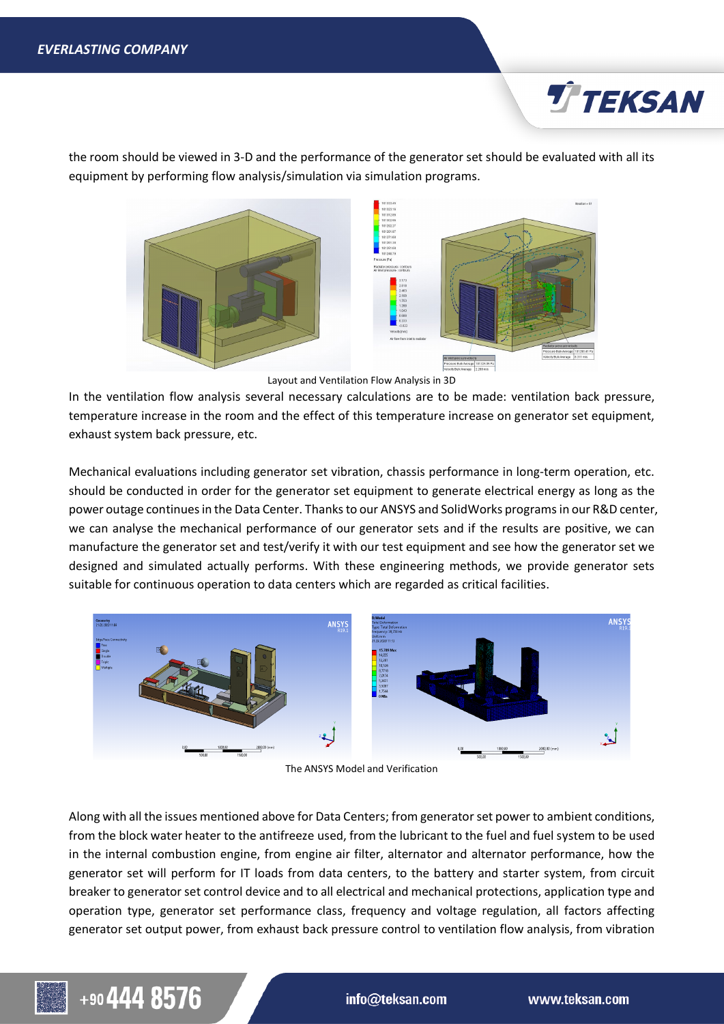

the room should be viewed in 3-D and the performance of the generator set should be evaluated with all its equipment by performing flow analysis/simulation via simulation programs.



Layout and Ventilation Flow Analysis in 3D

In the ventilation flow analysis several necessary calculations are to be made: ventilation back pressure, temperature increase in the room and the effect of this temperature increase on generator set equipment, exhaust system back pressure, etc.

Mechanical evaluations including generator set vibration, chassis performance in long-term operation, etc. should be conducted in order for the generator set equipment to generate electrical energy as long as the power outage continues in the Data Center. Thanks to our ANSYS and SolidWorks programs in our R&D center, we can analyse the mechanical performance of our generator sets and if the results are positive, we can manufacture the generator set and test/verify it with our test equipment and see how the generator set we designed and simulated actually performs. With these engineering methods, we provide generator sets suitable for continuous operation to data centers which are regarded as critical facilities.



The ANSYS Model and Verification

Along with all the issues mentioned above for Data Centers; from generator set power to ambient conditions, from the block water heater to the antifreeze used, from the lubricant to the fuel and fuel system to be used in the internal combustion engine, from engine air filter, alternator and alternator performance, how the generator set will perform for IT loads from data centers, to the battery and starter system, from circuit breaker to generator set control device and to all electrical and mechanical protections, application type and operation type, generator set performance class, frequency and voltage regulation, all factors affecting generator set output power, from exhaust back pressure control to ventilation flow analysis, from vibration